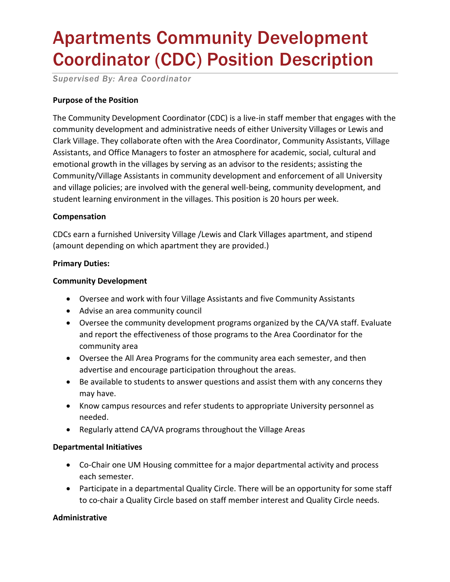# Apartments Community Development Coordinator (CDC) Position Description

*Supervised By: Area Coordinator*

# **Purpose of the Position**

The Community Development Coordinator (CDC) is a live-in staff member that engages with the community development and administrative needs of either University Villages or Lewis and Clark Village. They collaborate often with the Area Coordinator, Community Assistants, Village Assistants, and Office Managers to foster an atmosphere for academic, social, cultural and emotional growth in the villages by serving as an advisor to the residents; assisting the Community/Village Assistants in community development and enforcement of all University and village policies; are involved with the general well-being, community development, and student learning environment in the villages. This position is 20 hours per week.

## **Compensation**

CDCs earn a furnished University Village /Lewis and Clark Villages apartment, and stipend (amount depending on which apartment they are provided.)

#### **Primary Duties:**

#### **Community Development**

- Oversee and work with four Village Assistants and five Community Assistants
- Advise an area community council
- Oversee the community development programs organized by the CA/VA staff. Evaluate and report the effectiveness of those programs to the Area Coordinator for the community area
- Oversee the All Area Programs for the community area each semester, and then advertise and encourage participation throughout the areas.
- Be available to students to answer questions and assist them with any concerns they may have.
- Know campus resources and refer students to appropriate University personnel as needed.
- Regularly attend CA/VA programs throughout the Village Areas

#### **Departmental Initiatives**

- Co-Chair one UM Housing committee for a major departmental activity and process each semester.
- Participate in a departmental Quality Circle. There will be an opportunity for some staff to co-chair a Quality Circle based on staff member interest and Quality Circle needs.

## **Administrative**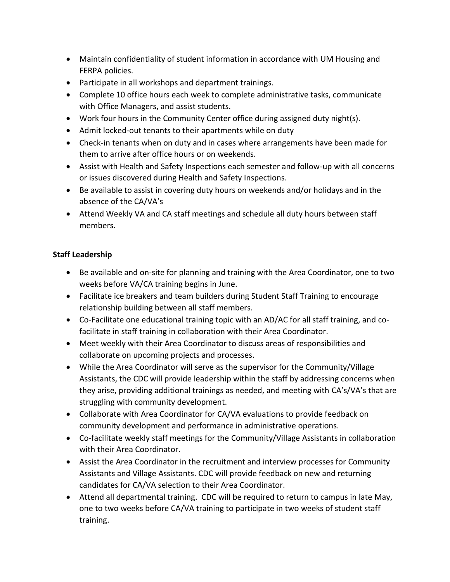- Maintain confidentiality of student information in accordance with UM Housing and FERPA policies.
- Participate in all workshops and department trainings.
- Complete 10 office hours each week to complete administrative tasks, communicate with Office Managers, and assist students.
- Work four hours in the Community Center office during assigned duty night(s).
- Admit locked-out tenants to their apartments while on duty
- Check-in tenants when on duty and in cases where arrangements have been made for them to arrive after office hours or on weekends.
- Assist with Health and Safety Inspections each semester and follow-up with all concerns or issues discovered during Health and Safety Inspections.
- Be available to assist in covering duty hours on weekends and/or holidays and in the absence of the CA/VA's
- Attend Weekly VA and CA staff meetings and schedule all duty hours between staff members.

# **Staff Leadership**

- Be available and on-site for planning and training with the Area Coordinator, one to two weeks before VA/CA training begins in June.
- Facilitate ice breakers and team builders during Student Staff Training to encourage relationship building between all staff members.
- Co-Facilitate one educational training topic with an AD/AC for all staff training, and cofacilitate in staff training in collaboration with their Area Coordinator.
- Meet weekly with their Area Coordinator to discuss areas of responsibilities and collaborate on upcoming projects and processes.
- While the Area Coordinator will serve as the supervisor for the Community/Village Assistants, the CDC will provide leadership within the staff by addressing concerns when they arise, providing additional trainings as needed, and meeting with CA's/VA's that are struggling with community development.
- Collaborate with Area Coordinator for CA/VA evaluations to provide feedback on community development and performance in administrative operations.
- Co-facilitate weekly staff meetings for the Community/Village Assistants in collaboration with their Area Coordinator.
- Assist the Area Coordinator in the recruitment and interview processes for Community Assistants and Village Assistants. CDC will provide feedback on new and returning candidates for CA/VA selection to their Area Coordinator.
- Attend all departmental training. CDC will be required to return to campus in late May, one to two weeks before CA/VA training to participate in two weeks of student staff training.